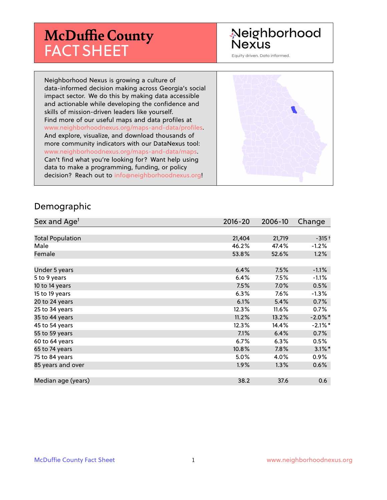# **McDuffie County** FACT SHEET

# Neighborhood Nexus

Equity driven. Data informed.

Neighborhood Nexus is growing a culture of data-informed decision making across Georgia's social impact sector. We do this by making data accessible and actionable while developing the confidence and skills of mission-driven leaders like yourself. Find more of our useful maps and data profiles at www.neighborhoodnexus.org/maps-and-data/profiles. And explore, visualize, and download thousands of more community indicators with our DataNexus tool: www.neighborhoodnexus.org/maps-and-data/maps. Can't find what you're looking for? Want help using data to make a programming, funding, or policy decision? Reach out to [info@neighborhoodnexus.org!](mailto:info@neighborhoodnexus.org)



#### Demographic

| Sex and Age <sup>1</sup> | $2016 - 20$ | 2006-10 | Change     |
|--------------------------|-------------|---------|------------|
|                          |             |         |            |
| <b>Total Population</b>  | 21,404      | 21,719  | $-315+$    |
| Male                     | 46.2%       | 47.4%   | $-1.2%$    |
| Female                   | 53.8%       | 52.6%   | 1.2%       |
|                          |             |         |            |
| Under 5 years            | 6.4%        | 7.5%    | $-1.1%$    |
| 5 to 9 years             | 6.4%        | 7.5%    | $-1.1\%$   |
| 10 to 14 years           | 7.5%        | 7.0%    | 0.5%       |
| 15 to 19 years           | 6.3%        | 7.6%    | $-1.3%$    |
| 20 to 24 years           | 6.1%        | 5.4%    | 0.7%       |
| 25 to 34 years           | 12.3%       | 11.6%   | $0.7\%$    |
| 35 to 44 years           | 11.2%       | 13.2%   | $-2.0\%$ * |
| 45 to 54 years           | 12.3%       | 14.4%   | $-2.1\%$ * |
| 55 to 59 years           | 7.1%        | 6.4%    | 0.7%       |
| 60 to 64 years           | 6.7%        | 6.3%    | 0.5%       |
| 65 to 74 years           | 10.8%       | 7.8%    | $3.1\%$ *  |
| 75 to 84 years           | 5.0%        | 4.0%    | 0.9%       |
| 85 years and over        | 1.9%        | 1.3%    | $0.6\%$    |
|                          |             |         |            |
| Median age (years)       | 38.2        | 37.6    | 0.6        |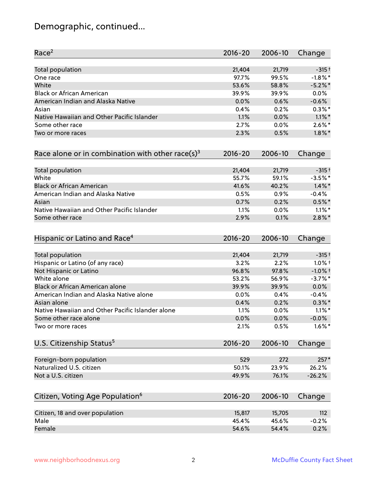# Demographic, continued...

| Race <sup>2</sup>                                   | $2016 - 20$ | 2006-10 | Change     |
|-----------------------------------------------------|-------------|---------|------------|
| <b>Total population</b>                             | 21,404      | 21,719  | $-315+$    |
| One race                                            | 97.7%       | 99.5%   | $-1.8\%$ * |
| White                                               | 53.6%       | 58.8%   | $-5.2%$ *  |
| <b>Black or African American</b>                    | 39.9%       | 39.9%   | 0.0%       |
| American Indian and Alaska Native                   | 0.0%        | 0.6%    | $-0.6%$    |
| Asian                                               | 0.4%        | 0.2%    | $0.3\%$ *  |
| Native Hawaiian and Other Pacific Islander          | 1.1%        | 0.0%    | $1.1\%$ *  |
| Some other race                                     | 2.7%        | 0.0%    | $2.6\%$ *  |
| Two or more races                                   | 2.3%        | 0.5%    | $1.8\%$ *  |
| Race alone or in combination with other race(s) $3$ | $2016 - 20$ | 2006-10 | Change     |
| Total population                                    | 21,404      | 21,719  | $-315+$    |
| White                                               | 55.7%       | 59.1%   | $-3.5%$ *  |
| <b>Black or African American</b>                    | 41.6%       | 40.2%   | $1.4\%$ *  |
| American Indian and Alaska Native                   | 0.5%        | 0.9%    | $-0.4%$    |
| Asian                                               | 0.7%        | 0.2%    | $0.5%$ *   |
| Native Hawaiian and Other Pacific Islander          | 1.1%        | 0.0%    | $1.1\%$ *  |
| Some other race                                     | 2.9%        | 0.1%    | $2.8\%$ *  |
| Hispanic or Latino and Race <sup>4</sup>            | $2016 - 20$ | 2006-10 | Change     |
| <b>Total population</b>                             | 21,404      | 21,719  | $-315+$    |
| Hispanic or Latino (of any race)                    | 3.2%        | 2.2%    | $1.0\%$ †  |
| Not Hispanic or Latino                              | 96.8%       | 97.8%   | $-1.0%$ +  |
| White alone                                         | 53.2%       | 56.9%   | $-3.7%$ *  |
| Black or African American alone                     | 39.9%       | 39.9%   | 0.0%       |
| American Indian and Alaska Native alone             | 0.0%        | 0.4%    | $-0.4%$    |
| Asian alone                                         | 0.4%        | 0.2%    | $0.3\%$ *  |
| Native Hawaiian and Other Pacific Islander alone    | 1.1%        | 0.0%    | $1.1\%$ *  |
| Some other race alone                               | 0.0%        | 0.0%    | $-0.0%$    |
| Two or more races                                   | 2.1%        | 0.5%    | $1.6\%$ *  |
| U.S. Citizenship Status <sup>5</sup>                | $2016 - 20$ | 2006-10 | Change     |
| Foreign-born population                             | 529         | 272     | $257*$     |
| Naturalized U.S. citizen                            | 50.1%       | 23.9%   | 26.2%      |
| Not a U.S. citizen                                  | 49.9%       | 76.1%   | $-26.2%$   |
|                                                     |             |         |            |
| Citizen, Voting Age Population <sup>6</sup>         | $2016 - 20$ | 2006-10 | Change     |
| Citizen, 18 and over population                     | 15,817      | 15,705  | 112        |
| Male                                                | 45.4%       | 45.6%   | $-0.2%$    |
| Female                                              | 54.6%       | 54.4%   | 0.2%       |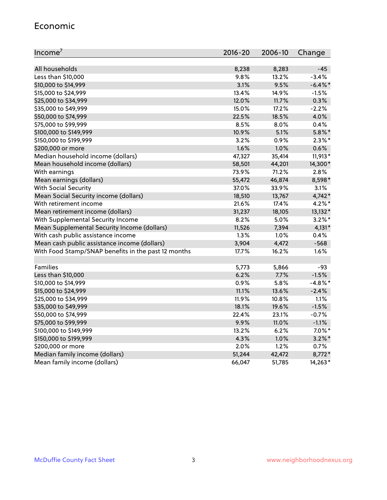#### Economic

| Income <sup>7</sup>                                 | $2016 - 20$ | 2006-10 | Change     |
|-----------------------------------------------------|-------------|---------|------------|
|                                                     |             |         |            |
| All households                                      | 8,238       | 8,283   | $-45$      |
| Less than \$10,000                                  | 9.8%        | 13.2%   | $-3.4%$    |
| \$10,000 to \$14,999                                | 3.1%        | 9.5%    | $-6.4\%$ * |
| \$15,000 to \$24,999                                | 13.4%       | 14.9%   | $-1.5%$    |
| \$25,000 to \$34,999                                | 12.0%       | 11.7%   | 0.3%       |
| \$35,000 to \$49,999                                | 15.0%       | 17.2%   | $-2.2%$    |
| \$50,000 to \$74,999                                | 22.5%       | 18.5%   | 4.0%       |
| \$75,000 to \$99,999                                | 8.5%        | 8.0%    | 0.4%       |
| \$100,000 to \$149,999                              | 10.9%       | 5.1%    | $5.8\%$ *  |
| \$150,000 to \$199,999                              | 3.2%        | 0.9%    | $2.3\%$ *  |
| \$200,000 or more                                   | 1.6%        | 1.0%    | 0.6%       |
| Median household income (dollars)                   | 47,327      | 35,414  | $11,913*$  |
| Mean household income (dollars)                     | 58,501      | 44,201  | 14,300*    |
| With earnings                                       | 73.9%       | 71.2%   | 2.8%       |
| Mean earnings (dollars)                             | 55,472      | 46,874  | 8,598*     |
| <b>With Social Security</b>                         | 37.0%       | 33.9%   | 3.1%       |
| Mean Social Security income (dollars)               | 18,510      | 13,767  | $4,742*$   |
| With retirement income                              | 21.6%       | 17.4%   | 4.2%*      |
| Mean retirement income (dollars)                    | 31,237      | 18,105  | $13,132*$  |
| With Supplemental Security Income                   | $8.2\%$     | $5.0\%$ | $3.2\%$ *  |
| Mean Supplemental Security Income (dollars)         | 11,526      | 7,394   | $4,131*$   |
| With cash public assistance income                  | 1.3%        | $1.0\%$ | 0.4%       |
| Mean cash public assistance income (dollars)        | 3,904       | 4,472   | $-568$     |
| With Food Stamp/SNAP benefits in the past 12 months | 17.7%       | 16.2%   | 1.6%       |
|                                                     |             |         |            |
| Families                                            | 5,773       | 5,866   | $-93$      |
| Less than \$10,000                                  | 6.2%        | $7.7\%$ | $-1.5%$    |
| \$10,000 to \$14,999                                | 0.9%        | 5.8%    | $-4.8\%$ * |
| \$15,000 to \$24,999                                | 11.1%       | 13.6%   | $-2.4%$    |
| \$25,000 to \$34,999                                | 11.9%       | 10.8%   | 1.1%       |
| \$35,000 to \$49,999                                | 18.1%       | 19.6%   | $-1.5%$    |
| \$50,000 to \$74,999                                | 22.4%       | 23.1%   | $-0.7%$    |
| \$75,000 to \$99,999                                | 9.9%        | 11.0%   | $-1.1%$    |
| \$100,000 to \$149,999                              | 13.2%       | 6.2%    | $7.0\%$ *  |
| \$150,000 to \$199,999                              | 4.3%        | 1.0%    | $3.2\%$ *  |
| \$200,000 or more                                   | 2.0%        | 1.2%    | 0.7%       |
| Median family income (dollars)                      | 51,244      | 42,472  | 8,772*     |
| Mean family income (dollars)                        | 66,047      | 51,785  | 14,263*    |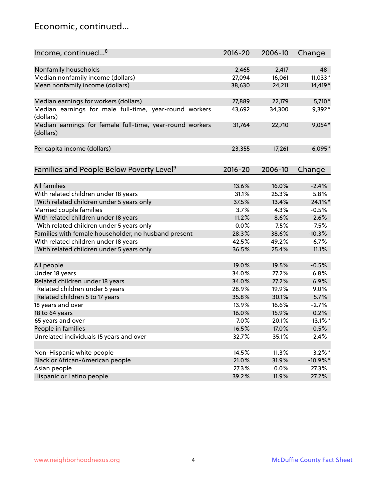### Economic, continued...

| Income, continued <sup>8</sup>                                                     | $2016 - 20$ | 2006-10 | Change      |
|------------------------------------------------------------------------------------|-------------|---------|-------------|
|                                                                                    |             |         |             |
| Nonfamily households                                                               | 2,465       | 2,417   | 48          |
| Median nonfamily income (dollars)                                                  | 27,094      | 16,061  | 11,033*     |
| Mean nonfamily income (dollars)                                                    | 38,630      | 24,211  | 14,419*     |
| Median earnings for workers (dollars)                                              | 27,889      | 22,179  | 5,710*      |
| Median earnings for male full-time, year-round workers                             | 43,692      | 34,300  | 9,392*      |
| (dollars)<br>Median earnings for female full-time, year-round workers<br>(dollars) | 31,764      | 22,710  | $9,054*$    |
| Per capita income (dollars)                                                        | 23,355      | 17,261  | $6,095*$    |
| Families and People Below Poverty Level <sup>9</sup>                               | $2016 - 20$ | 2006-10 | Change      |
|                                                                                    |             |         |             |
| <b>All families</b>                                                                | 13.6%       | 16.0%   | $-2.4%$     |
| With related children under 18 years                                               | 31.1%       | 25.3%   | 5.8%        |
| With related children under 5 years only                                           | 37.5%       | 13.4%   | 24.1%*      |
| Married couple families                                                            | 3.7%        | 4.3%    | $-0.5%$     |
| With related children under 18 years                                               | 11.2%       | 8.6%    | 2.6%        |
| With related children under 5 years only                                           | 0.0%        | 7.5%    | $-7.5%$     |
| Families with female householder, no husband present                               | 28.3%       | 38.6%   | $-10.3%$    |
| With related children under 18 years                                               | 42.5%       | 49.2%   | $-6.7%$     |
| With related children under 5 years only                                           | 36.5%       | 25.4%   | 11.1%       |
|                                                                                    | 19.0%       | 19.5%   | $-0.5%$     |
| All people<br>Under 18 years                                                       | 34.0%       | 27.2%   | 6.8%        |
| Related children under 18 years                                                    | 34.0%       | 27.2%   | 6.9%        |
|                                                                                    | 28.9%       | 19.9%   | 9.0%        |
| Related children under 5 years                                                     |             |         |             |
| Related children 5 to 17 years                                                     | 35.8%       | 30.1%   | 5.7%        |
| 18 years and over                                                                  | 13.9%       | 16.6%   | $-2.7%$     |
| 18 to 64 years                                                                     | 16.0%       | 15.9%   | 0.2%        |
| 65 years and over                                                                  | 7.0%        | 20.1%   | $-13.1\%$ * |
| People in families                                                                 | 16.5%       | 17.0%   | $-0.5%$     |
| Unrelated individuals 15 years and over                                            | 32.7%       | 35.1%   | $-2.4%$     |
|                                                                                    |             |         |             |
| Non-Hispanic white people                                                          | 14.5%       | 11.3%   | $3.2\%$ *   |
| Black or African-American people                                                   | 21.0%       | 31.9%   | $-10.9\%$ * |
| Asian people                                                                       | 27.3%       | 0.0%    | 27.3%       |
| Hispanic or Latino people                                                          | 39.2%       | 11.9%   | 27.2%       |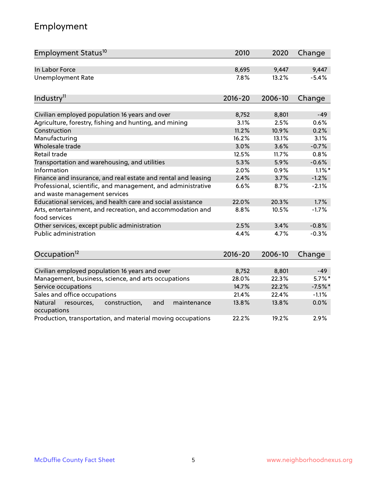# Employment

| Employment Status <sup>10</sup>                                                               | 2010        | 2020    | Change    |
|-----------------------------------------------------------------------------------------------|-------------|---------|-----------|
| In Labor Force                                                                                | 8,695       | 9,447   | 9,447     |
| <b>Unemployment Rate</b>                                                                      | 7.8%        | 13.2%   | $-5.4%$   |
|                                                                                               |             |         |           |
| Industry <sup>11</sup>                                                                        | $2016 - 20$ | 2006-10 | Change    |
| Civilian employed population 16 years and over                                                | 8,752       | 8,801   | $-49$     |
| Agriculture, forestry, fishing and hunting, and mining                                        | 3.1%        | 2.5%    | 0.6%      |
| Construction                                                                                  | 11.2%       | 10.9%   | 0.2%      |
| Manufacturing                                                                                 | 16.2%       | 13.1%   | 3.1%      |
| Wholesale trade                                                                               | 3.0%        | 3.6%    | $-0.7%$   |
| Retail trade                                                                                  | 12.5%       | 11.7%   | 0.8%      |
| Transportation and warehousing, and utilities                                                 | 5.3%        | 5.9%    | $-0.6%$   |
| Information                                                                                   | 2.0%        | 0.9%    | $1.1\%$ * |
| Finance and insurance, and real estate and rental and leasing                                 | 2.4%        | 3.7%    | $-1.2%$   |
| Professional, scientific, and management, and administrative<br>and waste management services | 6.6%        | 8.7%    | $-2.1%$   |
| Educational services, and health care and social assistance                                   | 22.0%       | 20.3%   | 1.7%      |
| Arts, entertainment, and recreation, and accommodation and<br>food services                   | 8.8%        | 10.5%   | $-1.7%$   |
| Other services, except public administration                                                  | 2.5%        | 3.4%    | $-0.8%$   |
| <b>Public administration</b>                                                                  | 4.4%        | 4.7%    | $-0.3%$   |
| Occupation <sup>12</sup>                                                                      | $2016 - 20$ | 2006-10 | Change    |
|                                                                                               |             |         |           |
| Civilian employed population 16 years and over                                                | 8,752       | 8,801   | $-49$     |
| Management, business, science, and arts occupations                                           | 28.0%       | 22.3%   | $5.7\%$ * |
| Service occupations                                                                           | 14.7%       | 22.2%   | $-7.5%$   |
| Sales and office occupations                                                                  | 21.4%       | 22.4%   | $-1.1%$   |
| Natural<br>resources,<br>construction,<br>and<br>maintenance<br>occupations                   | 13.8%       | 13.8%   | 0.0%      |
| Production, transportation, and material moving occupations                                   | 22.2%       | 19.2%   | 2.9%      |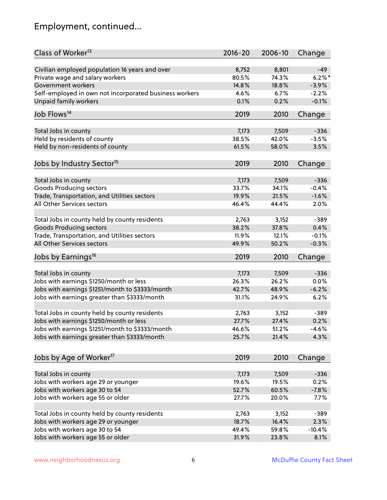# Employment, continued...

| Class of Worker <sup>13</sup>                          | $2016 - 20$ | 2006-10 | Change   |
|--------------------------------------------------------|-------------|---------|----------|
| Civilian employed population 16 years and over         | 8,752       | 8,801   | $-49$    |
| Private wage and salary workers                        | 80.5%       | 74.3%   | $6.2%$ * |
| Government workers                                     | 14.8%       | 18.8%   | $-3.9%$  |
| Self-employed in own not incorporated business workers | 4.6%        | 6.7%    | $-2.2%$  |
| <b>Unpaid family workers</b>                           | 0.1%        | 0.2%    | $-0.1%$  |
|                                                        |             |         |          |
| Job Flows <sup>14</sup>                                | 2019        | 2010    | Change   |
| Total Jobs in county                                   | 7,173       | 7,509   | $-336$   |
| Held by residents of county                            | 38.5%       | 42.0%   | $-3.5%$  |
| Held by non-residents of county                        | 61.5%       | 58.0%   | 3.5%     |
|                                                        |             |         |          |
| Jobs by Industry Sector <sup>15</sup>                  | 2019        | 2010    | Change   |
| Total Jobs in county                                   | 7,173       | 7,509   | $-336$   |
| Goods Producing sectors                                | 33.7%       | 34.1%   | $-0.4%$  |
| Trade, Transportation, and Utilities sectors           | 19.9%       | 21.5%   | $-1.6%$  |
| All Other Services sectors                             | 46.4%       | 44.4%   | 2.0%     |
|                                                        |             |         |          |
| Total Jobs in county held by county residents          | 2,763       | 3,152   | $-389$   |
| <b>Goods Producing sectors</b>                         | 38.2%       | 37.8%   | 0.4%     |
| Trade, Transportation, and Utilities sectors           | 11.9%       | 12.1%   | $-0.1%$  |
| All Other Services sectors                             | 49.9%       | 50.2%   | $-0.3%$  |
| Jobs by Earnings <sup>16</sup>                         | 2019        | 2010    | Change   |
|                                                        |             |         |          |
| Total Jobs in county                                   | 7,173       | 7,509   | $-336$   |
| Jobs with earnings \$1250/month or less                | 26.3%       | 26.2%   | 0.0%     |
| Jobs with earnings \$1251/month to \$3333/month        | 42.7%       | 48.9%   | $-6.2%$  |
| Jobs with earnings greater than \$3333/month           | 31.1%       | 24.9%   | 6.2%     |
| Total Jobs in county held by county residents          | 2,763       | 3,152   | $-389$   |
| Jobs with earnings \$1250/month or less                | 27.7%       | 27.4%   | 0.2%     |
| Jobs with earnings \$1251/month to \$3333/month        | 46.6%       | 51.2%   | -4.6%    |
| Jobs with earnings greater than \$3333/month           | 25.7%       | 21.4%   | 4.3%     |
|                                                        |             |         |          |
| Jobs by Age of Worker <sup>17</sup>                    | 2019        | 2010    | Change   |
| Total Jobs in county                                   | 7,173       | 7,509   | $-336$   |
| Jobs with workers age 29 or younger                    | 19.6%       | 19.5%   | 0.2%     |
| Jobs with workers age 30 to 54                         | 52.7%       | 60.5%   | $-7.8%$  |
| Jobs with workers age 55 or older                      | 27.7%       | 20.0%   | 7.7%     |
|                                                        |             |         |          |
| Total Jobs in county held by county residents          | 2,763       | 3,152   | $-389$   |
| Jobs with workers age 29 or younger                    | 18.7%       | 16.4%   | 2.3%     |
| Jobs with workers age 30 to 54                         | 49.4%       | 59.8%   | $-10.4%$ |
| Jobs with workers age 55 or older                      | 31.9%       | 23.8%   | 8.1%     |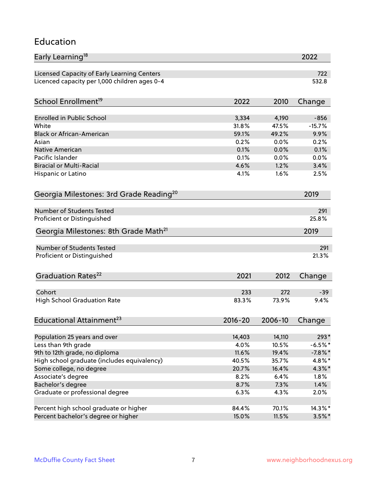#### Education

| Early Learning <sup>18</sup>                        |             |         | 2022       |
|-----------------------------------------------------|-------------|---------|------------|
| Licensed Capacity of Early Learning Centers         |             |         | 722        |
| Licenced capacity per 1,000 children ages 0-4       |             |         | 532.8      |
| School Enrollment <sup>19</sup>                     | 2022        | 2010    | Change     |
|                                                     |             |         |            |
| <b>Enrolled in Public School</b>                    | 3,334       | 4,190   | $-856$     |
| White                                               | 31.8%       | 47.5%   | $-15.7%$   |
| <b>Black or African-American</b>                    | 59.1%       | 49.2%   | 9.9%       |
| Asian                                               | 0.2%        | 0.0%    | 0.2%       |
| <b>Native American</b>                              | 0.1%        | 0.0%    | 0.1%       |
| Pacific Islander                                    | 0.1%        | 0.0%    | 0.0%       |
| <b>Biracial or Multi-Racial</b>                     | 4.6%        | 1.2%    | 3.4%       |
| Hispanic or Latino                                  | 4.1%        | 1.6%    | 2.5%       |
| Georgia Milestones: 3rd Grade Reading <sup>20</sup> |             |         | 2019       |
|                                                     |             |         |            |
| Number of Students Tested                           |             |         | 291        |
| Proficient or Distinguished                         |             |         | 25.8%      |
| Georgia Milestones: 8th Grade Math <sup>21</sup>    |             |         | 2019       |
| <b>Number of Students Tested</b>                    |             |         | 291        |
| Proficient or Distinguished                         |             |         | 21.3%      |
| Graduation Rates <sup>22</sup>                      |             |         |            |
|                                                     | 2021        | 2012    | Change     |
| Cohort                                              | 233         | 272     | $-39$      |
| <b>High School Graduation Rate</b>                  | 83.3%       | 73.9%   | 9.4%       |
| Educational Attainment <sup>23</sup>                | $2016 - 20$ | 2006-10 | Change     |
|                                                     |             |         |            |
| Population 25 years and over                        | 14,403      | 14,110  | 293*       |
| Less than 9th grade                                 | 4.0%        | 10.5%   | $-6.5%$ *  |
| 9th to 12th grade, no diploma                       | 11.6%       | 19.4%   | $-7.8\%$ * |
| High school graduate (includes equivalency)         | 40.5%       | 35.7%   | 4.8%*      |
| Some college, no degree                             | 20.7%       | 16.4%   | 4.3%*      |
| Associate's degree                                  | 8.2%        | 6.4%    | 1.8%       |
| Bachelor's degree                                   | 8.7%        | 7.3%    | 1.4%       |
| Graduate or professional degree                     | 6.3%        | 4.3%    | 2.0%       |
| Percent high school graduate or higher              | 84.4%       | 70.1%   | 14.3%*     |
| Percent bachelor's degree or higher                 | 15.0%       | 11.5%   | $3.5\%$ *  |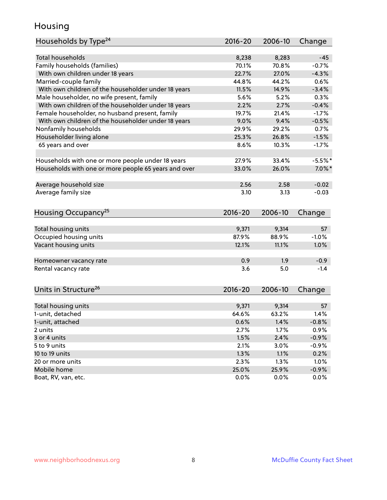### Housing

| Households by Type <sup>24</sup>                     | 2016-20 | 2006-10 | Change    |
|------------------------------------------------------|---------|---------|-----------|
|                                                      |         |         |           |
| <b>Total households</b>                              | 8,238   | 8,283   | $-45$     |
| Family households (families)                         | 70.1%   | 70.8%   | $-0.7%$   |
| With own children under 18 years                     | 22.7%   | 27.0%   | $-4.3%$   |
| Married-couple family                                | 44.8%   | 44.2%   | 0.6%      |
| With own children of the householder under 18 years  | 11.5%   | 14.9%   | $-3.4%$   |
| Male householder, no wife present, family            | 5.6%    | 5.2%    | 0.3%      |
| With own children of the householder under 18 years  | 2.2%    | 2.7%    | $-0.4%$   |
| Female householder, no husband present, family       | 19.7%   | 21.4%   | $-1.7%$   |
| With own children of the householder under 18 years  | 9.0%    | 9.4%    | $-0.5%$   |
| Nonfamily households                                 | 29.9%   | 29.2%   | 0.7%      |
| Householder living alone                             | 25.3%   | 26.8%   | $-1.5%$   |
| 65 years and over                                    | 8.6%    | 10.3%   | $-1.7%$   |
| Households with one or more people under 18 years    | 27.9%   | 33.4%   | $-5.5%$ * |
| Households with one or more people 65 years and over | 33.0%   | 26.0%   | $7.0\%$ * |
|                                                      |         |         |           |
| Average household size                               | 2.56    | 2.58    | $-0.02$   |
| Average family size                                  | 3.10    | 3.13    | $-0.03$   |
| Housing Occupancy <sup>25</sup>                      | 2016-20 | 2006-10 | Change    |
|                                                      |         |         |           |
| Total housing units                                  | 9,371   | 9,314   | 57        |
| Occupied housing units                               | 87.9%   | 88.9%   | $-1.0%$   |
| Vacant housing units                                 | 12.1%   | 11.1%   | 1.0%      |
|                                                      |         |         |           |
| Homeowner vacancy rate                               | 0.9     | 1.9     | $-0.9$    |
| Rental vacancy rate                                  | 3.6     | 5.0     | $-1.4$    |
| Units in Structure <sup>26</sup>                     | 2016-20 | 2006-10 | Change    |
|                                                      |         |         |           |
| Total housing units                                  | 9,371   | 9,314   | 57        |
| 1-unit, detached                                     | 64.6%   | 63.2%   | 1.4%      |
| 1-unit, attached                                     | 0.6%    | 1.4%    | $-0.8%$   |
| 2 units                                              | 2.7%    | 1.7%    | 0.9%      |
| 3 or 4 units                                         | 1.5%    | 2.4%    | $-0.9%$   |
| 5 to 9 units                                         | 2.1%    | 3.0%    | $-0.9%$   |
| 10 to 19 units                                       | 1.3%    | 1.1%    | 0.2%      |
| 20 or more units                                     | 2.3%    | 1.3%    | 1.0%      |
| Mobile home                                          | 25.0%   | 25.9%   | $-0.9%$   |
| Boat, RV, van, etc.                                  | 0.0%    | 0.0%    | 0.0%      |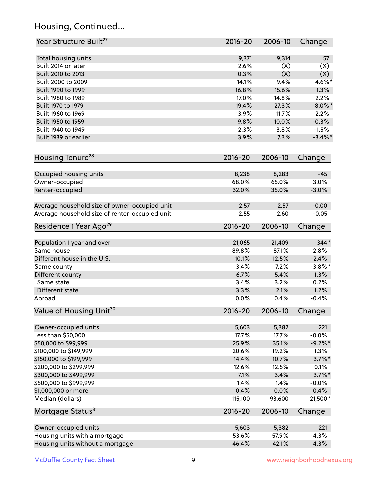# Housing, Continued...

| Year Structure Built <sup>27</sup>             | 2016-20      | 2006-10      | Change          |
|------------------------------------------------|--------------|--------------|-----------------|
|                                                |              |              |                 |
| Total housing units                            | 9,371        | 9,314        | 57              |
| Built 2014 or later                            | 2.6%         | (X)          | (X)             |
| Built 2010 to 2013                             | 0.3%         | (X)          | (X)             |
| Built 2000 to 2009                             | 14.1%        | 9.4%         | 4.6%*           |
| Built 1990 to 1999                             | 16.8%        | 15.6%        | 1.3%            |
| Built 1980 to 1989                             | 17.0%        | 14.8%        | 2.2%            |
| Built 1970 to 1979                             | 19.4%        | 27.3%        | $-8.0\%$ *      |
| Built 1960 to 1969                             | 13.9%        | 11.7%        | 2.2%            |
| Built 1950 to 1959                             | 9.8%         | 10.0%        | $-0.3%$         |
| Built 1940 to 1949                             | 2.3%         | 3.8%         | $-1.5%$         |
| Built 1939 or earlier                          | 3.9%         | 7.3%         | $-3.4\%$ *      |
| Housing Tenure <sup>28</sup>                   | $2016 - 20$  | 2006-10      | Change          |
|                                                |              |              |                 |
| Occupied housing units                         | 8,238        | 8,283        | $-45$           |
| Owner-occupied                                 | 68.0%        | 65.0%        | 3.0%            |
| Renter-occupied                                | 32.0%        | 35.0%        | $-3.0%$         |
| Average household size of owner-occupied unit  | 2.57         | 2.57         | $-0.00$         |
| Average household size of renter-occupied unit | 2.55         | 2.60         | $-0.05$         |
| Residence 1 Year Ago <sup>29</sup>             | 2016-20      | 2006-10      | Change          |
| Population 1 year and over                     | 21,065       | 21,409       | $-344*$         |
| Same house                                     | 89.8%        | 87.1%        | 2.8%            |
| Different house in the U.S.                    | 10.1%        | 12.5%        | $-2.4%$         |
| Same county                                    | 3.4%         | 7.2%         | $-3.8\%$ *      |
| Different county                               | 6.7%         | 5.4%         | 1.3%            |
| Same state                                     | 3.4%         | 3.2%         | 0.2%            |
|                                                |              |              |                 |
| Different state<br>Abroad                      | 3.3%<br>0.0% | 2.1%<br>0.4% | 1.2%<br>$-0.4%$ |
| Value of Housing Unit <sup>30</sup>            | 2016-20      | 2006-10      | Change          |
|                                                |              |              |                 |
| Owner-occupied units                           | 5,603        | 5,382        | 221             |
| Less than \$50,000                             | 17.7%        | 17.7%        | $-0.0%$         |
| \$50,000 to \$99,999                           | 25.9%        | 35.1%        | $-9.2\%$ *      |
| \$100,000 to \$149,999                         | 20.6%        | 19.2%        | 1.3%            |
| \$150,000 to \$199,999                         | 14.4%        | 10.7%        | $3.7\%$ *       |
| \$200,000 to \$299,999                         | 12.6%        | 12.5%        | 0.1%            |
| \$300,000 to \$499,999                         | 7.1%         | 3.4%         | $3.7\%$ *       |
| \$500,000 to \$999,999                         | 1.4%         | 1.4%         | $-0.0%$         |
| \$1,000,000 or more                            | 0.4%         | 0.0%         | 0.4%            |
| Median (dollars)                               | 115,100      | 93,600       | 21,500*         |
| Mortgage Status <sup>31</sup>                  | $2016 - 20$  | 2006-10      | Change          |
|                                                |              |              |                 |
| Owner-occupied units                           | 5,603        | 5,382        | 221             |
| Housing units with a mortgage                  | 53.6%        | 57.9%        | $-4.3%$         |
| Housing units without a mortgage               | 46.4%        | 42.1%        | 4.3%            |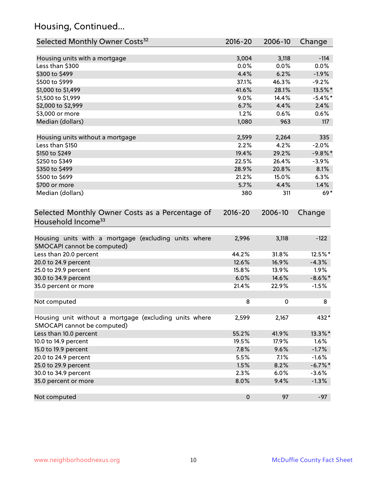# Housing, Continued...

| Selected Monthly Owner Costs <sup>32</sup>                                            | 2016-20   | 2006-10 | Change     |
|---------------------------------------------------------------------------------------|-----------|---------|------------|
| Housing units with a mortgage                                                         | 3,004     | 3,118   | $-114$     |
| Less than \$300                                                                       | 0.0%      | 0.0%    | 0.0%       |
| \$300 to \$499                                                                        | 4.4%      | 6.2%    | $-1.9%$    |
| \$500 to \$999                                                                        | 37.1%     | 46.3%   | $-9.2%$    |
| \$1,000 to \$1,499                                                                    | 41.6%     | 28.1%   | 13.5%*     |
| \$1,500 to \$1,999                                                                    | 9.0%      | 14.4%   | $-5.4\%$ * |
| \$2,000 to \$2,999                                                                    | 6.7%      | 4.4%    | 2.4%       |
| \$3,000 or more                                                                       | 1.2%      | 0.6%    | 0.6%       |
| Median (dollars)                                                                      | 1,080     | 963     | 117        |
|                                                                                       |           |         |            |
| Housing units without a mortgage                                                      | 2,599     | 2,264   | 335        |
| Less than \$150                                                                       | 2.2%      | 4.2%    | $-2.0%$    |
| \$150 to \$249                                                                        | 19.4%     | 29.2%   | $-9.8%$ *  |
| \$250 to \$349                                                                        | 22.5%     | 26.4%   | $-3.9%$    |
| \$350 to \$499                                                                        | 28.9%     | 20.8%   | 8.1%       |
| \$500 to \$699                                                                        | 21.2%     | 15.0%   | 6.3%       |
| \$700 or more                                                                         | 5.7%      | 4.4%    | 1.4%       |
| Median (dollars)                                                                      | 380       | 311     | $69*$      |
| Household Income <sup>33</sup>                                                        |           |         |            |
| Housing units with a mortgage (excluding units where<br>SMOCAPI cannot be computed)   | 2,996     | 3,118   | $-122$     |
| Less than 20.0 percent                                                                | 44.2%     | 31.8%   | 12.5%*     |
| 20.0 to 24.9 percent                                                                  | 12.6%     | 16.9%   | $-4.3%$    |
| 25.0 to 29.9 percent                                                                  | 15.8%     | 13.9%   | 1.9%       |
| 30.0 to 34.9 percent                                                                  | 6.0%      | 14.6%   | $-8.6\%$ * |
| 35.0 percent or more                                                                  | 21.4%     | 22.9%   | $-1.5%$    |
| Not computed                                                                          | 8         | 0       | 8          |
| Housing unit without a mortgage (excluding units where<br>SMOCAPI cannot be computed) | 2,599     | 2,167   | 432*       |
| Less than 10.0 percent                                                                | 55.2%     | 41.9%   | 13.3%*     |
| 10.0 to 14.9 percent                                                                  | 19.5%     | 17.9%   | 1.6%       |
| 15.0 to 19.9 percent                                                                  | 7.8%      | 9.6%    | $-1.7%$    |
| 20.0 to 24.9 percent                                                                  | 5.5%      | 7.1%    | $-1.6%$    |
| 25.0 to 29.9 percent                                                                  | 1.5%      | 8.2%    | $-6.7\%$ * |
| 30.0 to 34.9 percent                                                                  | 2.3%      | 6.0%    | $-3.6%$    |
| 35.0 percent or more                                                                  | 8.0%      | 9.4%    | $-1.3%$    |
| Not computed                                                                          | $\pmb{0}$ | 97      | $-97$      |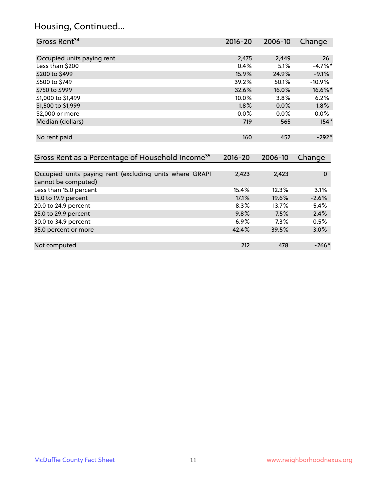# Housing, Continued...

| Gross Rent <sup>34</sup>                                                       | 2016-20     | 2006-10 | Change      |
|--------------------------------------------------------------------------------|-------------|---------|-------------|
|                                                                                |             |         |             |
| Occupied units paying rent                                                     | 2,475       | 2,449   | 26          |
| Less than \$200                                                                | 0.4%        | 5.1%    | $-4.7%$ *   |
| \$200 to \$499                                                                 | 15.9%       | 24.9%   | $-9.1%$     |
| \$500 to \$749                                                                 | 39.2%       | 50.1%   | $-10.9%$    |
| \$750 to \$999                                                                 | 32.6%       | 16.0%   | 16.6%*      |
| \$1,000 to \$1,499                                                             | 10.0%       | 3.8%    | 6.2%        |
| \$1,500 to \$1,999                                                             | 1.8%        | 0.0%    | 1.8%        |
| \$2,000 or more                                                                | 0.0%        | 0.0%    | 0.0%        |
| Median (dollars)                                                               | 719         | 565     | $154*$      |
| No rent paid                                                                   | 160         | 452     | $-292*$     |
| Gross Rent as a Percentage of Household Income <sup>35</sup>                   | $2016 - 20$ | 2006-10 | Change      |
| Occupied units paying rent (excluding units where GRAPI<br>cannot be computed) | 2,423       | 2,423   | $\mathbf 0$ |
| Less than 15.0 percent                                                         | 15.4%       | 12.3%   | 3.1%        |
| 15.0 to 19.9 percent                                                           | 17.1%       | 19.6%   | $-2.6%$     |
| 20.0 to 24.9 percent                                                           | 8.3%        | 13.7%   | $-5.4%$     |
| 25.0 to 29.9 percent                                                           | 9.8%        | 7.5%    | 2.4%        |
| 30.0 to 34.9 percent                                                           | 6.9%        | 7.3%    | $-0.5%$     |
| 35.0 percent or more                                                           | 42.4%       | 39.5%   | 3.0%        |
| Not computed                                                                   | 212         | 478     | $-266*$     |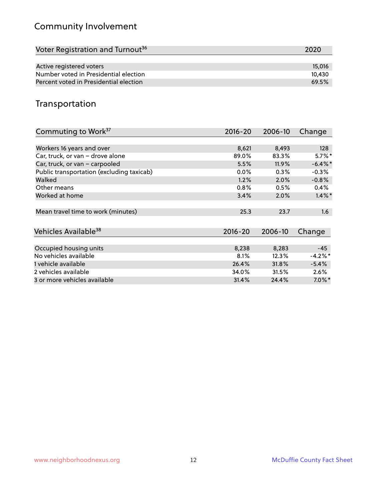# Community Involvement

| Voter Registration and Turnout <sup>36</sup> | 2020   |
|----------------------------------------------|--------|
|                                              |        |
| Active registered voters                     | 15,016 |
| Number voted in Presidential election        | 10.430 |
| Percent voted in Presidential election       | 69.5%  |

## Transportation

| Commuting to Work <sup>37</sup>           | 2016-20     | 2006-10  | Change     |
|-------------------------------------------|-------------|----------|------------|
|                                           |             |          |            |
| Workers 16 years and over                 | 8,621       | 8,493    | 128        |
| Car, truck, or van - drove alone          | 89.0%       | 83.3%    | $5.7\%$ *  |
| Car, truck, or van - carpooled            | 5.5%        | $11.9\%$ | $-6.4\%$ * |
| Public transportation (excluding taxicab) | $0.0\%$     | 0.3%     | $-0.3%$    |
| Walked                                    | 1.2%        | 2.0%     | $-0.8%$    |
| Other means                               | 0.8%        | 0.5%     | $0.4\%$    |
| Worked at home                            | 3.4%        | 2.0%     | $1.4\%$ *  |
| Mean travel time to work (minutes)        | 25.3        | 23.7     | 1.6        |
| Vehicles Available <sup>38</sup>          | $2016 - 20$ | 2006-10  | Change     |
| Occupied housing units                    | 8,238       | 8,283    | $-45$      |
| No vehicles available                     | 8.1%        | 12.3%    | $-4.2\%$ * |
| 1 vehicle available                       | 26.4%       | 31.8%    | $-5.4%$    |
| 2 vehicles available                      | 34.0%       | 31.5%    | $2.6\%$    |
| 3 or more vehicles available              | 31.4%       | 24.4%    | $7.0\%$ *  |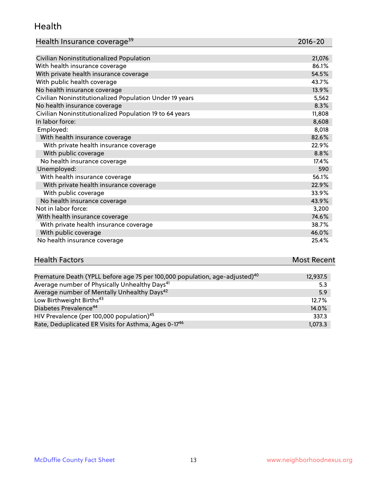#### Health

| Health Insurance coverage <sup>39</sup> | 2016-20 |
|-----------------------------------------|---------|
|-----------------------------------------|---------|

| Civilian Noninstitutionalized Population                | 21,076 |
|---------------------------------------------------------|--------|
| With health insurance coverage                          | 86.1%  |
| With private health insurance coverage                  | 54.5%  |
| With public health coverage                             | 43.7%  |
| No health insurance coverage                            | 13.9%  |
| Civilian Noninstitutionalized Population Under 19 years | 5,562  |
| No health insurance coverage                            | 8.3%   |
| Civilian Noninstitutionalized Population 19 to 64 years | 11,808 |
| In labor force:                                         | 8,608  |
| Employed:                                               | 8,018  |
| With health insurance coverage                          | 82.6%  |
| With private health insurance coverage                  | 22.9%  |
| With public coverage                                    | 8.8%   |
| No health insurance coverage                            | 17.4%  |
| Unemployed:                                             | 590    |
| With health insurance coverage                          | 56.1%  |
| With private health insurance coverage                  | 22.9%  |
| With public coverage                                    | 33.9%  |
| No health insurance coverage                            | 43.9%  |
| Not in labor force:                                     | 3,200  |
| With health insurance coverage                          | 74.6%  |
| With private health insurance coverage                  | 38.7%  |
| With public coverage                                    | 46.0%  |
| No health insurance coverage                            | 25.4%  |

| <b>Health Factors</b> | <b>Most Recent</b> |
|-----------------------|--------------------|
|                       |                    |

| Premature Death (YPLL before age 75 per 100,000 population, age-adjusted) <sup>40</sup> | 12,937.5 |
|-----------------------------------------------------------------------------------------|----------|
| Average number of Physically Unhealthy Days <sup>41</sup>                               | 5.3      |
| Average number of Mentally Unhealthy Days <sup>42</sup>                                 | 5.9      |
| Low Birthweight Births <sup>43</sup>                                                    | 12.7%    |
| Diabetes Prevalence <sup>44</sup>                                                       | 14.0%    |
| HIV Prevalence (per 100,000 population) <sup>45</sup>                                   | 337.3    |
| Rate, Deduplicated ER Visits for Asthma, Ages 0-17 <sup>46</sup>                        | 1,073.3  |